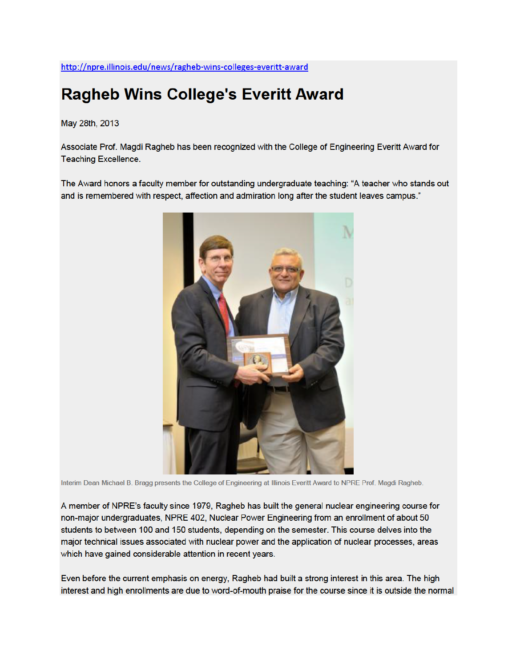## **Ragheb Wins College's Everitt Award**

May 28th, 2013

Associate Prof. Magdi Ragheb has been recognized with the College of Engineering Everitt Award for **Teaching Excellence.** 

The Award honors a faculty member for outstanding undergraduate teaching: "A teacher who stands out and is remembered with respect, affection and admiration long after the student leaves campus."



Interim Dean Michael B. Bragg presents the College of Engineering at Illinois Everitt Award to NPRE Prof. Magdi Ragheb.

A member of NPRE's faculty since 1979, Ragheb has built the general nuclear engineering course for non-major undergraduates, NPRE 402, Nuclear Power Engineering from an enrollment of about 50 students to between 100 and 150 students, depending on the semester. This course delves into the major technical issues associated with nuclear power and the application of nuclear processes, areas which have gained considerable attention in recent years.

Even before the current emphasis on energy, Ragheb had built a strong interest in this area. The high interest and high enrollments are due to word-of-mouth praise for the course since it is outside the normal